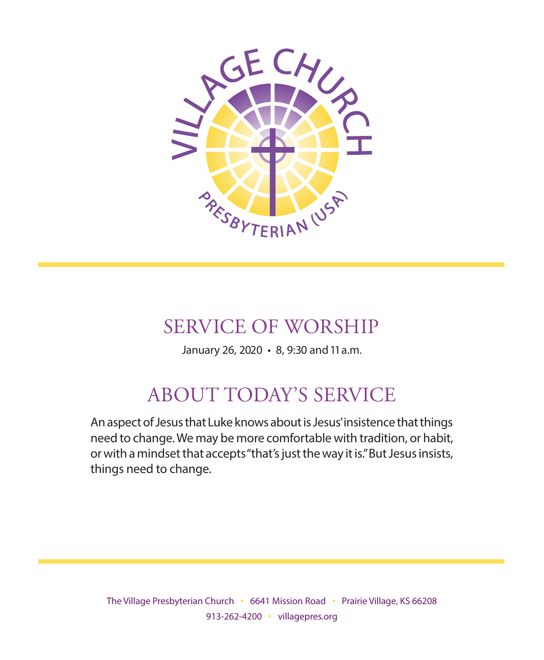

## SERVICE OF WORSHIP

January 26, 2020 • 8, 9:30 and 11 a.m.

# ABOUT TODAY'S SERVICE

An aspect of Jesus that Luke knows about is Jesus' insistence that things need to change. We may be more comfortable with tradition, or habit, or with a mindset that accepts "that's just the way it is." But Jesus insists, things need to change.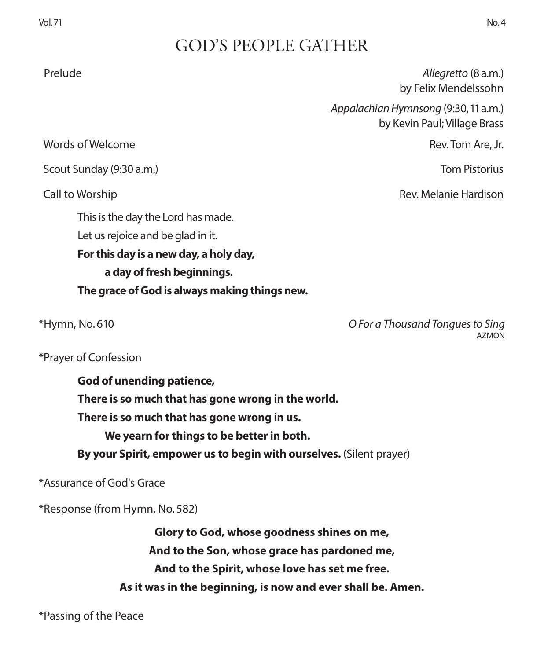## GOD'S PEOPLE GATHER

Prelude *Allegretto* (8 a.m.) by Felix Mendelssohn

> *Appalachian Hymnsong* (9:30, 11 a.m.) by Kevin Paul; Village Brass

Call to Worship Rev. Melanie Hardison

Words of Welcome Rev. Tom Are, Jr.

Scout Sunday (9:30 a.m.) Tom Pistorius

This is the day the Lord has made. Let us rejoice and be glad in it.

**For this day is a new day, a holy day, a day of fresh beginnings.**

**The grace of God is always making things new.**

\*Hymn, No. 610 *O For a Thousand Tongues to Sing* **AZMON** 

\*Prayer of Confession

**God of unending patience, There is so much that has gone wrong in the world. There is so much that has gone wrong in us. We yearn for things to be better in both.** 

**By your Spirit, empower us to begin with ourselves.** (Silent prayer)

\*Assurance of God's Grace

\*Response (from Hymn, No. 582)

**Glory to God, whose goodness shines on me, And to the Son, whose grace has pardoned me, And to the Spirit, whose love has set me free. As it was in the beginning, is now and ever shall be. Amen.**

\*Passing of the Peace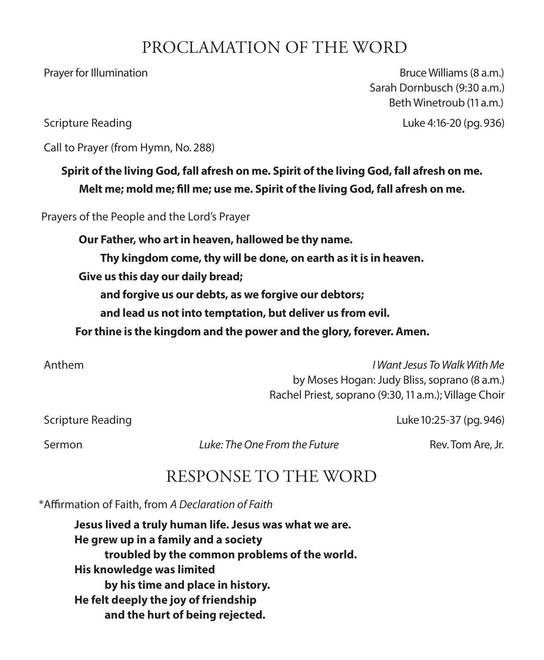## PROCLAMATION OF THE WORD

Prayer for Illumination **Bruce Williams (8 a.m.)** Bruce Williams (8 a.m.) Sarah Dornbusch (9:30 a.m.) Beth Winetroub (11 a.m.)

Scripture Reading Luke 4:16-20 (pg. 936)

Call to Prayer (from Hymn, No. 288)

### **Spirit of the living God, fall afresh on me. Spirit of the living God, fall afresh on me. Melt me; mold me; fill me; use me. Spirit of the living God, fall afresh on me.**

Prayers of the People and the Lord's Prayer

**Our Father, who art in heaven, hallowed be thy name.**

**Thy kingdom come, thy will be done, on earth as it is in heaven.**

**Give us this day our daily bread;**

**and forgive us our debts, as we forgive our debtors;**

**and lead us not into temptation, but deliver us from evil.**

 **For thine is the kingdom and the power and the glory, forever. Amen.**

 Anthem *I Want Jesus To Walk With Me*  by Moses Hogan: Judy Bliss, soprano (8 a.m.) Rachel Priest, soprano (9:30, 11 a.m.); Village Choir

Scripture Reading Luke 10:25-37 (pg. 946)

Sermon **Example 3 In the** *Luke: The One From the Future* Rev. Tom Are, Jr.

## RESPONSE TO THE WORD

\*Affirmation of Faith, from *A Declaration of Faith*

**Jesus lived a truly human life. Jesus was what we are. He grew up in a family and a society troubled by the common problems of the world. His knowledge was limited by his time and place in history. He felt deeply the joy of friendship and the hurt of being rejected.**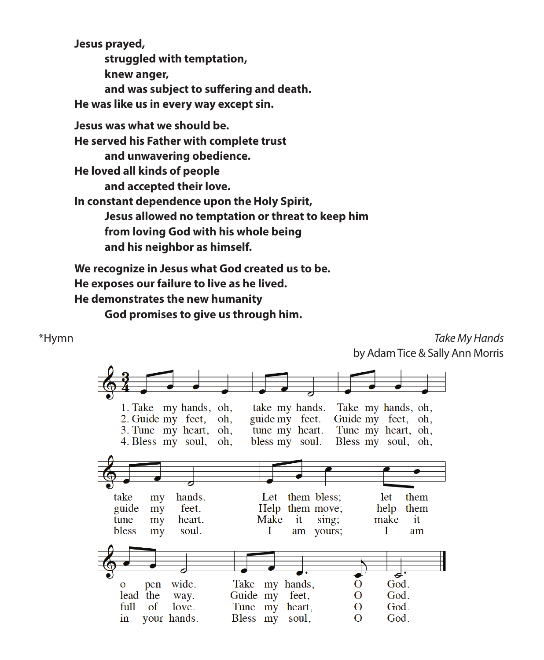**Jesus prayed,** 

**struggled with temptation,**

**knew anger,**

**and was subject to suffering and death.**

**He was like us in every way except sin.**

**Jesus was what we should be.**

**He served his Father with complete trust**

**and unwavering obedience.**

**He loved all kinds of people**

**and accepted their love.**

**In constant dependence upon the Holy Spirit, Jesus allowed no temptation or threat to keep him from loving God with his whole being**

**and his neighbor as himself.**

**We recognize in Jesus what God created us to be. He exposes our failure to live as he lived. He demonstrates the new humanity**

**God promises to give us through him.**

\*Hymn *Take My Hands*  by Adam Tice & Sally Ann Morris

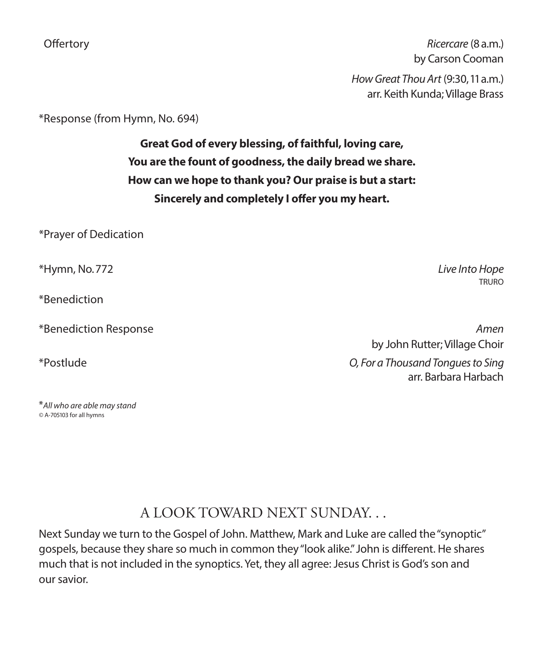Offertory *Ricercare* (8 a.m.) by Carson Cooman *How Great Thou Art* (9:30, 11 a.m.) arr. Keith Kunda; Village Brass

\*Response (from Hymn, No. 694)

**Great God of every blessing, of faithful, loving care, You are the fount of goodness, the daily bread we share. How can we hope to thank you? Our praise is but a start: Sincerely and completely I offer you my heart.**

\*Prayer of Dedication

\*Hymn, No. 772 *Live Into Hope*

\*Benediction

\**All who are able may stand ©* A-705103 for all hymns

TRURO

\*Benediction Response *Amen*  by John Rutter; Village Choir \*Postlude *O, For a Thousand Tongues to Sing* 

arr. Barbara Harbach

### A LOOK TOWARD NEXT SUNDAY. . .

Next Sunday we turn to the Gospel of John. Matthew, Mark and Luke are called the "synoptic" gospels, because they share so much in common they "look alike." John is different. He shares much that is not included in the synoptics. Yet, they all agree: Jesus Christ is God's son and our savior.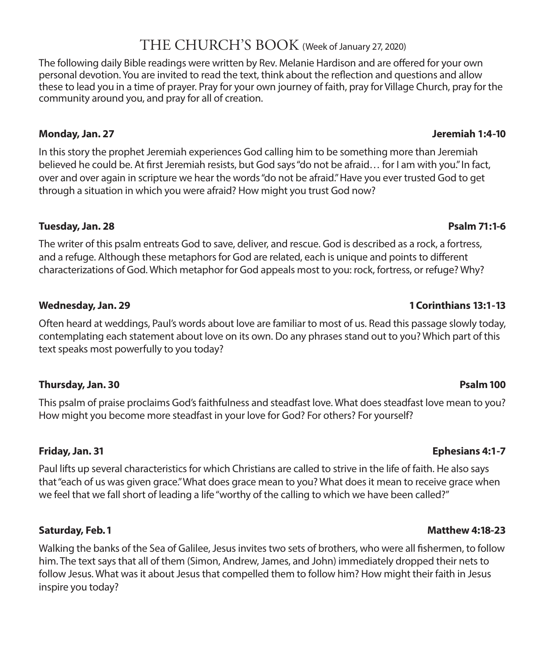### THE CHURCH'S BOOK (Week of January 27, 2020)

The following daily Bible readings were written by Rev. Melanie Hardison and are offered for your own personal devotion. You are invited to read the text, think about the reflection and questions and allow these to lead you in a time of prayer. Pray for your own journey of faith, pray for Village Church, pray for the community around you, and pray for all of creation.

### **Monday, Jan. 27 Jeremiah 1:4-10**

In this story the prophet Jeremiah experiences God calling him to be something more than Jeremiah believed he could be. At first Jeremiah resists, but God says "do not be afraid… for I am with you." In fact, over and over again in scripture we hear the words "do not be afraid." Have you ever trusted God to get through a situation in which you were afraid? How might you trust God now?

### **Tuesday, Jan. 28 Psalm 71:1-6**

The writer of this psalm entreats God to save, deliver, and rescue. God is described as a rock, a fortress, and a refuge. Although these metaphors for God are related, each is unique and points to different characterizations of God. Which metaphor for God appeals most to you: rock, fortress, or refuge? Why?

### **Wednesday, Jan. 29 1 Corinthians 13:1-13**

Often heard at weddings, Paul's words about love are familiar to most of us. Read this passage slowly today, contemplating each statement about love on its own. Do any phrases stand out to you? Which part of this text speaks most powerfully to you today?

### **Thursday, Jan. 30 Psalm 100**

This psalm of praise proclaims God's faithfulness and steadfast love. What does steadfast love mean to you? How might you become more steadfast in your love for God? For others? For yourself?

Paul lifts up several characteristics for which Christians are called to strive in the life of faith. He also says that "each of us was given grace." What does grace mean to you? What does it mean to receive grace when we feel that we fall short of leading a life "worthy of the calling to which we have been called?"

### **Saturday, Feb. 1 Matthew 4:18-23**

Walking the banks of the Sea of Galilee, Jesus invites two sets of brothers, who were all fishermen, to follow him. The text says that all of them (Simon, Andrew, James, and John) immediately dropped their nets to follow Jesus. What was it about Jesus that compelled them to follow him? How might their faith in Jesus inspire you today?

### **Friday, Jan. 31 Ephesians 4:1-7**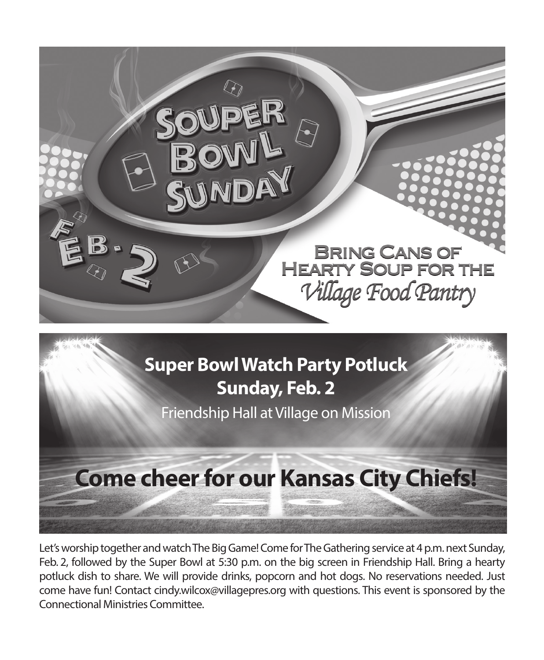



Let's worship together and watch The Big Game! Come for The Gathering service at 4 p.m. next Sunday, Feb. 2, followed by the Super Bowl at 5:30 p.m. on the big screen in Friendship Hall. Bring a hearty potluck dish to share. We will provide drinks, popcorn and hot dogs. No reservations needed. Just come have fun! Contact cindy.wilcox@villagepres.org with questions. This event is sponsored by the Connectional Ministries Committee.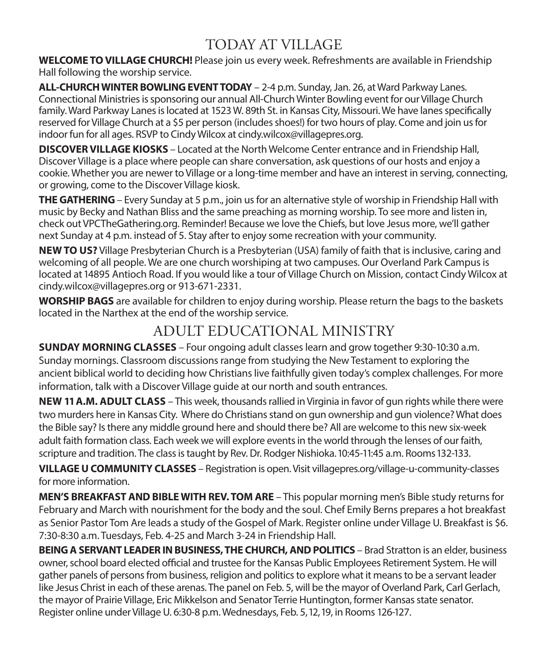## TODAY AT VILLAGE

**WELCOME TO VILLAGE CHURCH!** Please join us every week. Refreshments are available in Friendship Hall following the worship service.

**ALL-CHURCH WINTER BOWLING EVENT TODAY** – 2-4 p.m. Sunday, Jan. 26, at Ward Parkway Lanes. Connectional Ministries is sponsoring our annual All-Church Winter Bowling event for our Village Church family. Ward Parkway Lanes is located at 1523 W. 89th St. in Kansas City, Missouri. We have lanes specifically reserved for Village Church at a \$5 per person (includes shoes!) for two hours of play. Come and join us for indoor fun for all ages. RSVP to Cindy Wilcox at cindy.wilcox@villagepres.org.

**DISCOVER VILLAGE KIOSKS** – Located at the North Welcome Center entrance and in Friendship Hall, Discover Village is a place where people can share conversation, ask questions of our hosts and enjoy a cookie. Whether you are newer to Village or a long-time member and have an interest in serving, connecting, or growing, come to the Discover Village kiosk.

**THE GATHERING**– Every Sunday at 5 p.m., join us for an alternative style of worship in Friendship Hall with music by Becky and Nathan Bliss and the same preaching as morning worship. To see more and listen in, check out VPCTheGathering.org. Reminder! Because we love the Chiefs, but love Jesus more, we'll gather next Sunday at 4 p.m. instead of 5. Stay after to enjoy some recreation with your community.

**NEW TO US?** Village Presbyterian Church is a Presbyterian (USA) family of faith that is inclusive, caring and welcoming of all people. We are one church worshiping at two campuses. Our Overland Park Campus is located at 14895 Antioch Road. If you would like a tour of Village Church on Mission, contact Cindy Wilcox at cindy.wilcox@villagepres.org or 913-671-2331.

**WORSHIP BAGS** are available for children to enjoy during worship. Please return the bags to the baskets located in the Narthex at the end of the worship service.

### ADULT EDUCATIONAL MINISTRY

**SUNDAY MORNING CLASSES** – Four ongoing adult classes learn and grow together 9:30-10:30 a.m. Sunday mornings. Classroom discussions range from studying the New Testament to exploring the ancient biblical world to deciding how Christians live faithfully given today's complex challenges. For more information, talk with a Discover Village guide at our north and south entrances.

**NEW 11 A.M. ADULT CLASS** – This week, thousands rallied in Virginia in favor of gun rights while there were two murders here in Kansas City. Where do Christians stand on gun ownership and gun violence? What does the Bible say? Is there any middle ground here and should there be? All are welcome to this new six-week adult faith formation class. Each week we will explore events in the world through the lenses of our faith, scripture and tradition. The class is taught by Rev. Dr. Rodger Nishioka. 10:45-11:45 a.m. Rooms 132-133.

**VILLAGE U COMMUNITY CLASSES** – Registration is open. Visit villagepres.org/village-u-community-classes for more information.

**MEN'S BREAKFAST AND BIBLE WITH REV. TOM ARE** – This popular morning men's Bible study returns for February and March with nourishment for the body and the soul. Chef Emily Berns prepares a hot breakfast as Senior Pastor Tom Are leads a study of the Gospel of Mark. Register online under Village U. Breakfast is \$6. 7:30-8:30 a.m. Tuesdays, Feb. 4-25 and March 3-24 in Friendship Hall.

**BEING A SERVANT LEADER IN BUSINESS, THE CHURCH, AND POLITICS** – Brad Stratton is an elder, business owner, school board elected official and trustee for the Kansas Public Employees Retirement System. He will gather panels of persons from business, religion and politics to explore what it means to be a servant leader like Jesus Christ in each of these arenas. The panel on Feb. 5, will be the mayor of Overland Park, Carl Gerlach, the mayor of Prairie Village, Eric Mikkelson and Senator Terrie Huntington, former Kansas state senator. Register online under Village U. 6:30-8 p.m. Wednesdays, Feb. 5, 12, 19, in Rooms 126-127.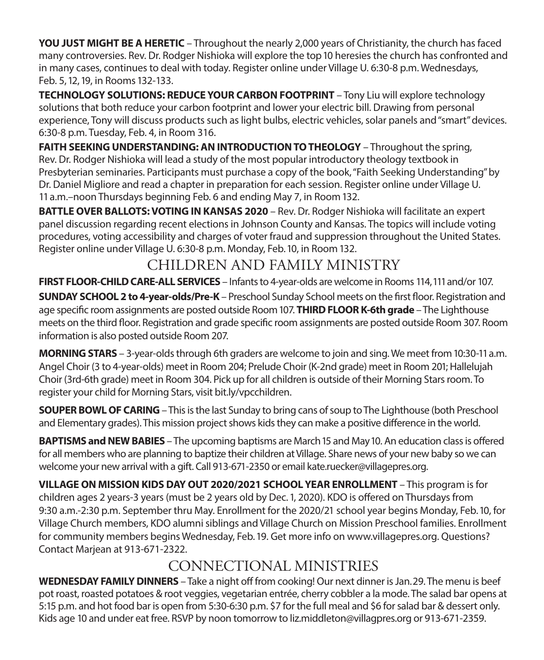**YOU JUST MIGHT BE A HERETIC** – Throughout the nearly 2,000 years of Christianity, the church has faced many controversies. Rev. Dr. Rodger Nishioka will explore the top 10 heresies the church has confronted and in many cases, continues to deal with today. Register online under Village U. 6:30-8 p.m. Wednesdays, Feb. 5, 12, 19, in Rooms 132-133.

**TECHNOLOGY SOLUTIONS: REDUCE YOUR CARBON FOOTPRINT** – Tony Liu will explore technology solutions that both reduce your carbon footprint and lower your electric bill. Drawing from personal experience, Tony will discuss products such as light bulbs, electric vehicles, solar panels and "smart" devices. 6:30-8 p.m. Tuesday, Feb. 4, in Room 316.

**FAITH SEEKING UNDERSTANDING: AN INTRODUCTION TO THEOLOGY** – Throughout the spring, Rev. Dr. Rodger Nishioka will lead a study of the most popular introductory theology textbook in Presbyterian seminaries. Participants must purchase a copy of the book, "Faith Seeking Understanding" by Dr. Daniel Migliore and read a chapter in preparation for each session. Register online under Village U. 11 a.m.–noon Thursdays beginning Feb. 6 and ending May 7, in Room 132.

**BATTLE OVER BALLOTS: VOTING IN KANSAS 2020** – Rev. Dr. Rodger Nishioka will facilitate an expert panel discussion regarding recent elections in Johnson County and Kansas. The topics will include voting procedures, voting accessibility and charges of voter fraud and suppression throughout the United States. Register online under Village U. 6:30-8 p.m. Monday, Feb. 10, in Room 132.

## CHILDREN AND FAMILY MINISTRY

**FIRST FLOOR-CHILD CARE-ALL SERVICES** – Infants to 4-year-olds are welcome in Rooms 114, 111 and/or 107.

**SUNDAY SCHOOL 2 to 4-year-olds/Pre-K** – Preschool Sunday School meets on the first floor. Registration and age specific room assignments are posted outside Room 107. **THIRD FLOOR K-6th grade** – The Lighthouse meets on the third floor. Registration and grade specific room assignments are posted outside Room 307. Room information is also posted outside Room 207.

**MORNING STARS** – 3-year-olds through 6th graders are welcome to join and sing. We meet from 10:30-11 a.m. Angel Choir (3 to 4-year-olds) meet in Room 204; Prelude Choir (K-2nd grade) meet in Room 201; Hallelujah Choir (3rd-6th grade) meet in Room 304. Pick up for all children is outside of their Morning Stars room. To register your child for Morning Stars, visit bit.ly/vpcchildren.

**SOUPER BOWL OF CARING** – This is the last Sunday to bring cans of soup to The Lighthouse (both Preschool and Elementary grades). This mission project shows kids they can make a positive difference in the world.

**BAPTISMS and NEW BABIES** – The upcoming baptisms are March 15 and May 10. An education class is offered for all members who are planning to baptize their children at Village. Share news of your new baby so we can welcome your new arrival with a gift. Call 913-671-2350 or email kate.ruecker@villagepres.org.

**VILLAGE ON MISSION KIDS DAY OUT 2020/2021 SCHOOL YEAR ENROLLMENT** – This program is for children ages 2 years-3 years (must be 2 years old by Dec. 1, 2020). KDO is offered on Thursdays from 9:30 a.m.-2:30 p.m. September thru May. Enrollment for the 2020/21 school year begins Monday, Feb. 10, for Village Church members, KDO alumni siblings and Village Church on Mission Preschool families. Enrollment for community members begins Wednesday, Feb. 19. Get more info on www.villagepres.org. Questions? Contact Marjean at 913-671-2322.

## CONNECTIONAL MINISTRIES

**WEDNESDAY FAMILY DINNERS** – Take a night off from cooking! Our next dinner is Jan. 29. The menu is beef pot roast, roasted potatoes & root veggies, vegetarian entrée, cherry cobbler a la mode. The salad bar opens at 5:15 p.m. and hot food bar is open from 5:30-6:30 p.m. \$7 for the full meal and \$6 for salad bar & dessert only. Kids age 10 and under eat free. RSVP by noon tomorrow to liz.middleton@villagpres.org or 913-671-2359.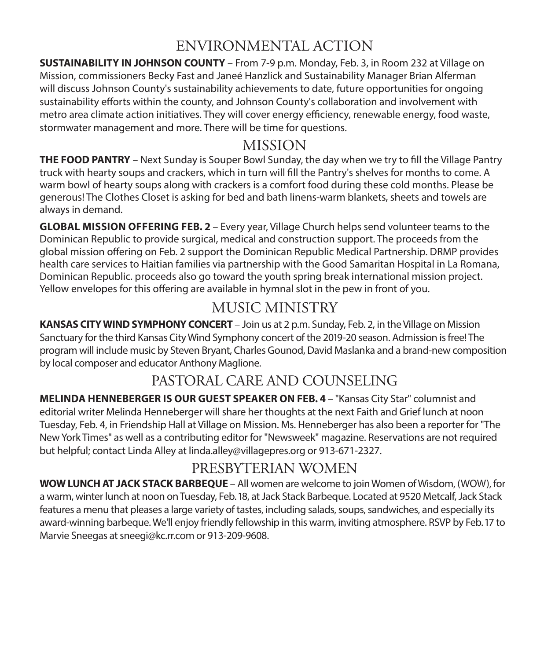### ENVIRONMENTAL ACTION

**SUSTAINABILITY IN JOHNSON COUNTY** – From 7-9 p.m. Monday, Feb. 3, in Room 232 at Village on Mission, commissioners Becky Fast and Janeé Hanzlick and Sustainability Manager Brian Alferman will discuss Johnson County's sustainability achievements to date, future opportunities for ongoing sustainability efforts within the county, and Johnson County's collaboration and involvement with metro area climate action initiatives. They will cover energy efficiency, renewable energy, food waste, stormwater management and more. There will be time for questions.

### MISSION

**THE FOOD PANTRY** – Next Sunday is Souper Bowl Sunday, the day when we try to fill the Village Pantry truck with hearty soups and crackers, which in turn will fill the Pantry's shelves for months to come. A warm bowl of hearty soups along with crackers is a comfort food during these cold months. Please be generous! The Clothes Closet is asking for bed and bath linens-warm blankets, sheets and towels are always in demand.

**GLOBAL MISSION OFFERING FEB. 2** – Every year, Village Church helps send volunteer teams to the Dominican Republic to provide surgical, medical and construction support. The proceeds from the global mission offering on Feb. 2 support the Dominican Republic Medical Partnership. DRMP provides health care services to Haitian families via partnership with the Good Samaritan Hospital in La Romana, Dominican Republic. proceeds also go toward the youth spring break international mission project. Yellow envelopes for this offering are available in hymnal slot in the pew in front of you.

## MUSIC MINISTRY

**KANSAS CITY WIND SYMPHONY CONCERT** – Join us at 2 p.m. Sunday, Feb. 2, in the Village on Mission Sanctuary for the third Kansas City Wind Symphony concert of the 2019-20 season. Admission is free! The program will include music by Steven Bryant, Charles Gounod, David Maslanka and a brand-new composition by local composer and educator Anthony Maglione.

## PASTORAL CARE AND COUNSELING

**MELINDA HENNEBERGER IS OUR GUEST SPEAKER ON FEB. 4** – "Kansas City Star" columnist and editorial writer Melinda Henneberger will share her thoughts at the next Faith and Grief lunch at noon Tuesday, Feb. 4, in Friendship Hall at Village on Mission. Ms. Henneberger has also been a reporter for "The New York Times" as well as a contributing editor for "Newsweek" magazine. Reservations are not required but helpful; contact Linda Alley at linda.alley@villagepres.org or 913-671-2327.

### PRESBYTERIAN WOMEN

**WOW LUNCH AT JACK STACK BARBEQUE** – All women are welcome to join Women of Wisdom, (WOW), for a warm, winter lunch at noon on Tuesday, Feb. 18, at Jack Stack Barbeque. Located at 9520 Metcalf, Jack Stack features a menu that pleases a large variety of tastes, including salads, soups, sandwiches, and especially its award-winning barbeque. We'll enjoy friendly fellowship in this warm, inviting atmosphere. RSVP by Feb. 17 to Marvie Sneegas at sneegi@kc.rr.com or 913-209-9608.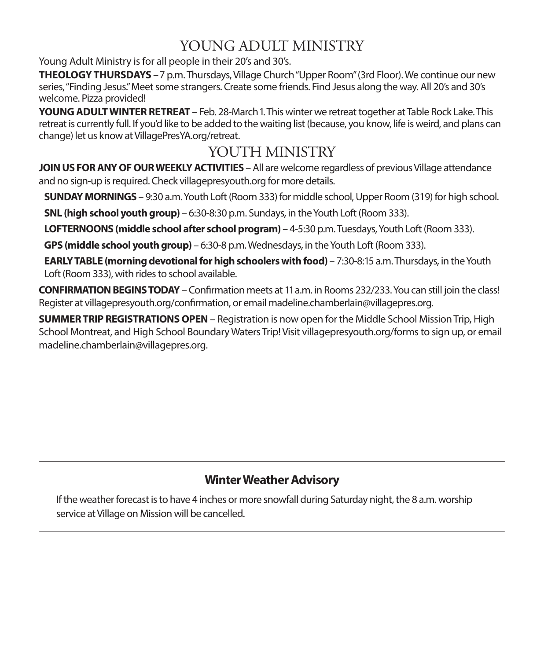### YOUNG ADULT MINISTRY

Young Adult Ministry is for all people in their 20's and 30's.

**THEOLOGY THURSDAYS** - 7 p.m. Thursdays, Village Church "Upper Room" (3rd Floor). We continue our new series, "Finding Jesus." Meet some strangers. Create some friends. Find Jesus along the way. All 20's and 30's welcome. Pizza provided!

**YOUNG ADULT WINTER RETREAT** – Feb. 28-March 1. This winter we retreat together at Table Rock Lake. This retreat is currently full. If you'd like to be added to the waiting list (because, you know, life is weird, and plans can change) let us know at VillagePresYA.org/retreat.

### YOUTH MINISTRY

**JOIN US FOR ANY OF OUR WEEKLY ACTIVITIES** – All are welcome regardless of previous Village attendance and no sign-up is required. Check villagepresyouth.org for more details.

**SUNDAY MORNINGS** – 9:30 a.m. Youth Loft (Room 333) for middle school, Upper Room (319) for high school.

**SNL (high school youth group)** – 6:30-8:30 p.m. Sundays, in the Youth Loft (Room 333).

**LOFTERNOONS (middle school after school program)** – 4-5:30 p.m. Tuesdays, Youth Loft (Room 333).

**GPS (middle school youth group)** – 6:30-8 p.m. Wednesdays, in the Youth Loft (Room 333).

**EARLY TABLE (morning devotional for high schoolers with food)** – 7:30-8:15 a.m. Thursdays, in the Youth Loft (Room 333), with rides to school available.

**CONFIRMATION BEGINS TODAY** – Confirmation meets at 11 a.m. in Rooms 232/233. You can still join the class! Register at villagepresyouth.org/confirmation, or email madeline.chamberlain@villagepres.org.

**SUMMER TRIP REGISTRATIONS OPEN** – Registration is now open for the Middle School Mission Trip, High School Montreat, and High School Boundary Waters Trip! Visit villagepresyouth.org/forms to sign up, or email madeline.chamberlain@villagepres.org.

### **Winter Weather Advisory**

If the weather forecast is to have 4 inches or more snowfall during Saturday night, the 8 a.m. worship service at Village on Mission will be cancelled.